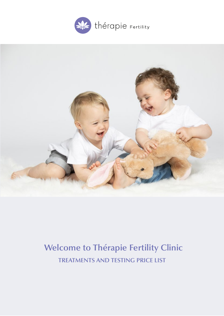



# **TREATMENTS AND TESTING PRICE LIST Welcome to Thérapie Fertility Clinic**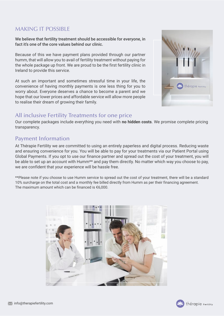## MAKING IT POSSIBLE

We believe that fertility treatment should be accessible for everyone, in fact it's one of the core values behind our clinic.

Because of this we have payment plans provided through our partner humm, that will allow you to avail of fertility treatment without paying for the whole package up front. We are proud to be the first fertility clinic in Ireland to provide this service.

At such an important and sometimes stressful time in your life, the convenience of having monthly payments is one less thing for you to worry about. Everyone deserves a chance to become a parent and we hope that our lower prices and affordable service will allow more people to realise their dream of growing their family.



## All inclusive Fertility Treatments for one price

Our complete packages include everything you need with **no hidden costs**. We promise complete pricing transparency.

## Payment Information

At Thérapie Fertility we are committed to using an entirely paperless and digital process. Reducing waste and ensuring convenience for you. You will be able to pay for your treatments via our Patient Portal using Global Payments. If you opt to use our finance partner and spread out the cost of your treatment, you will be able to set up an account with Humm\*\* and pay them directly. No matter which way you choose to pay, we are confident that your experience will be hassle free.

\*\*Please note if you choose to use Humm service to spread out the cost of your treatment, there will be a standard 10% surcharge on the total cost and a monthly fee billed directly from Humm as per their financing agreement. The maximum amount which can be financed is €6,000.



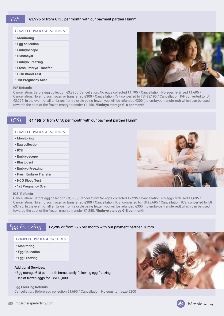#### **COMPLETE PACKAGE INCLUDES**

- **Monitoring**
- **Egg collection**
- **Embryoscope**
- **Blastocyst**
- **Embryo Freezing**
- **Fresh Embryo Transfer**
- **HCG Blood Test**
- **1st Pregnancy Scan**



#### **IVF Refunds**

Cancellation: Before egg collection €3,395 / Cancellation: No eggs collected €1,795 / Cancellation: No eggs fertilised €1,695 / Cancellation: No embryos frozen or transferred €300 / Cancellation: IVF converted to TSI €3,195 / Cancellation: IVF converted to IUI €2,995. In the event of all embryos from a cycle being frozen you will be refunded €300 (no embryos transferred) which can be used towards the cost of the frozen embryo transfer €1,250. **\*Embryo storage €18 per month**

### **€4,495** or from €150 per month with our payment partner Humm

#### **COMPLETE PACKAGE INCLUDES**

- **Monitoring**
- **Egg collection**
- **ICSI**

*ICSI*

- **Embryoscope**
- **Blastocyst**
- **Embryo Freezing**
- **Fresh Embryo Transfer**
- **HCG Blood Test**
- **1st Pregnancy Scan**

#### **ICSI Refunds**



Cancellation: Before egg collection €3,895 / Cancellation: No eggs collected €2,295 / Cancellation: No eggs fertilised €1,695 / Cancellation: No embryos frozen or transferred €300 / Cancellation: ICSI converted to TSI €3,695 / Cancellation: ICSI converted to IUI €3,495. In the event of all embryos from a cycle being frozen you will be refunded €300 (no embryos transferred) which can be used towards the cost of the frozen embryo transfer €1,250. **\*Embryo storage €18 per month**

## *Egg Freezing* **€2,295** or from €75 per month with our payment partner Humm

#### **COMPLETE PACKAGE INCLUDES**

- **Monitoring**
- **Egg Collection**
- **Egg Freezing**

#### **Additional Services:**

- **•** Egg storage €18 per month immediately following egg freezing
- **•** Use of frozen eggs for ICSI €3,000

**Egg Freezing Refunds** Cancellation: Before egg collection €1,695 / Cancellation: No eggs to freeze €200



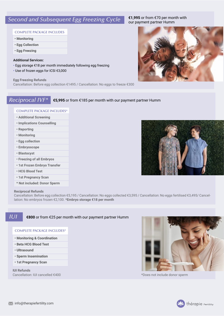# **Second and Subsequent Egg Freezing Cycle €1,995** or from €70 per mor

#### **COMPLETE PACKAGE INCLUDES**

- **Monitoring**
- **Egg Collection**
- **Egg Freezing**

#### **Additional Services:**

- **•** Egg storage €18 per month immediately following egg freezing
- **•** Use of frozen eggs for ICSI €3,000

#### **Egg Freezing Refunds**

Cancellation: Before egg collection €1495 / Cancellation: No eggs to freeze €300

## *Reciprocal IVF\** **€5,995** or from €185 per month with our payment partner Humm

#### **COMPLETE PACKAGE INCLUDES\***

- **Additional Screening**
- **Implications Counselling**
- **Reporting**
- **Monitoring**
- **Egg collection**
- **Embryoscope**
- **Blastocyst**
- **Freezing of all Embryos**
- **1st Frozen Embryo Transfer**
- **HCG Blood Test**
- **1st Pregnancy Scan**
- **\* Not included: Donor Sperm**

#### **Reciprocal Refunds**

Cancellation: Before egg collection €5,195 / Cancellation: No eggs collected €3,595 / Cancellation: No eggs fertilised €3,495/ Cancellation: No embryos frozen €2,100. **\*Embryo storage €18 per month**

### *IUI*

#### **€800** or from €25 per month with our payment partner Humm

#### **COMPLETE PACKAGE INCLUDES\***

- **Monitoring & Coordination**
- **Beta HCG Blood Test**
- **Ultrasound**
- **Sperm Insemination**
- **1st Pregnancy Scan**

**IUI Refunds** Cancellation: IUI cancelled €400



**€1,995** or from €70 per month with



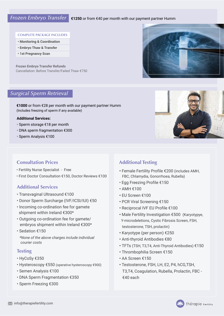#### *Frozen Embryo Transfer* **€1250** or from €40 per month with our payment partner Humm

#### **COMPLETE PACKAGE INCLUDES**

- **Monitoring & Coordination**
- **Embryo Thaw & Transfer**
- **1st Pregnancy Scan**

**Frozen Embryo Transfer Refunds** Cancellation: Before Transfer/Failed Thaw €750

## *Surgical Sperm Retrieval*

**€1000** or from €28 per month with our payment partner Humm (Includes freezing of sperm if any available)

#### **Additional Services:**

- **•** Sperm storage €18 per month
- DNA sperm fragmentation €300
- Sperm Analysis €100

## **Consultation Prices**

- Fertility Nurse Specialist Free
- First Doctor Consultation €150, Doctor Reviews €100

## **Additional Services**

- Transvaginal Ultrasound €100
- Donor Sperm Surcharge (IVF/ICSI/IUI) €50
- Incoming co-ordination fee for gamete shipment within Ireland €300\*
- **From Extra From Extra Series** Properties and Form From Francisco Premicrodeletions, Cystic Fibrosic<br>
embryos shipment within Ireland €300\*<br> **Extra FRANCIST Properties** • Outgoing co-ordination fee for gamete/
	- Sedation €150

**COMPLETE PACKAGE INCLUDES**  *\*None of the above charges include individual courier costs*

## **• Testing**

- HyCoSy €350
- Hysteroscopy €550 (operative hysteroscopy €900)
- Semen Analysis €100
- DNA Sperm Fragmentation €350 **/** Cancellation: No embryos that E750
- Sperm Freezing €300

## **Additional Testing**

- Female Fertility Profile €200 (includes AMH, FBC, Chlamydia, Gonorrhoea, Rubella)
- Egg Freezing Profile €150
- AMH €100
- EU Screen €100
- PCR Viral Screening €150
- Reciprocal IVF EU Profile €100
- Male Fertility Investigation €500 (Karyotypye, Y-microdeletions, Cystic Fibrosis Screen, FSH, testosterone, TSH, prolactin)
- Karyotype (per person) €250
- Anti-thyroid Antibodies €80
- TFTs (TSH, T3,T4, Anti-Thyroid Antibodies) €150
- Thrombophilia Screen €150
- AA Screen €150
- Testosterone, FSH, LH, E2, P4, hCG,TSH, T3,T4, Coagulation, Rubella, Prolactin, FBC - €40 each